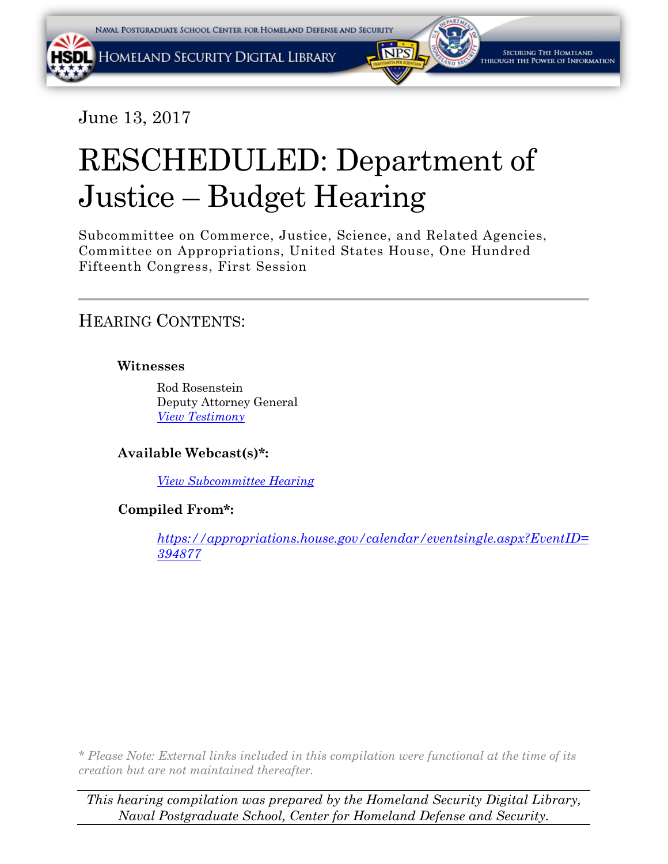June 13, 2017

# RESCHEDULED: Department of Justice – Budget Hearing

Subcommittee on Commerce, Justice, Science, and Related Agencies, Committee on Appropriations, United States House, One Hundred Fifteenth Congress, First Session

HEARING CONTENTS:

## **Witnesses**

Rod Rosenstein Deputy Attorney General *[View Testimony](http://docs.house.gov/meetings/AP/AP19/20170613/105999/HHRG-115-AP19-Wstate-RosensteinR-20170613.PDF)*

**Available Webcast(s)\*:**

*[View Subcommittee](https://youtu.be/dSsF5vNndes) Hearing*

**Compiled From\*:**

*[https://appropriations.house.gov/calendar/eventsingle.aspx?EventID=](https://appropriations.house.gov/calendar/eventsingle.aspx?EventID=394877) 394877*

*\* Please Note: External links included in this compilation were functional at the time of its creation but are not maintained thereafter.* 

*This hearing compilation was prepared by the Homeland Security Digital Library, Naval Postgraduate School, Center for Homeland Defense and Security.*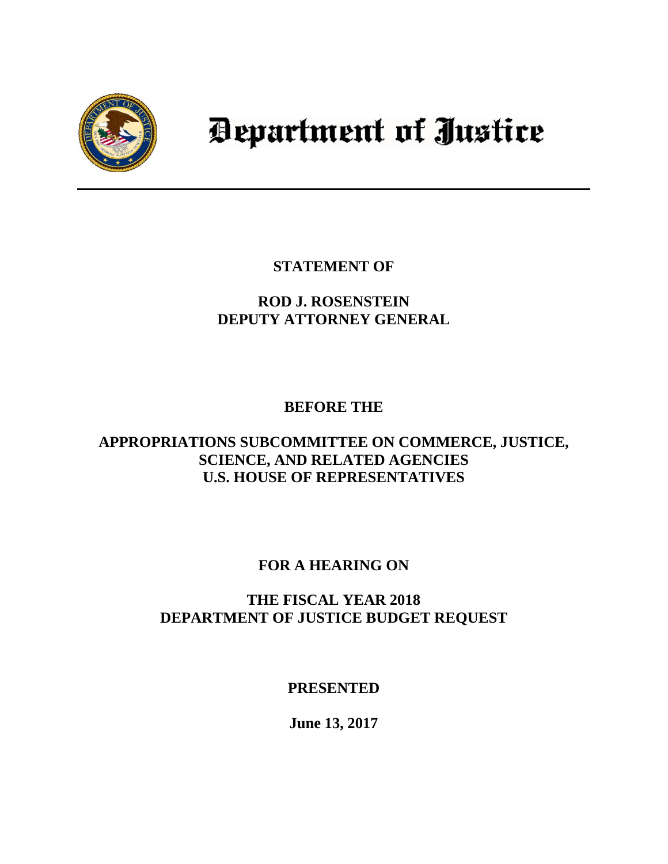

# Department of Justice

**STATEMENT OF**

# **ROD J. ROSENSTEIN DEPUTY ATTORNEY GENERAL**

## **BEFORE THE**

## **APPROPRIATIONS SUBCOMMITTEE ON COMMERCE, JUSTICE, SCIENCE, AND RELATED AGENCIES U.S. HOUSE OF REPRESENTATIVES**

## **FOR A HEARING ON**

## **THE FISCAL YEAR 2018 DEPARTMENT OF JUSTICE BUDGET REQUEST**

## **PRESENTED**

**June 13, 2017**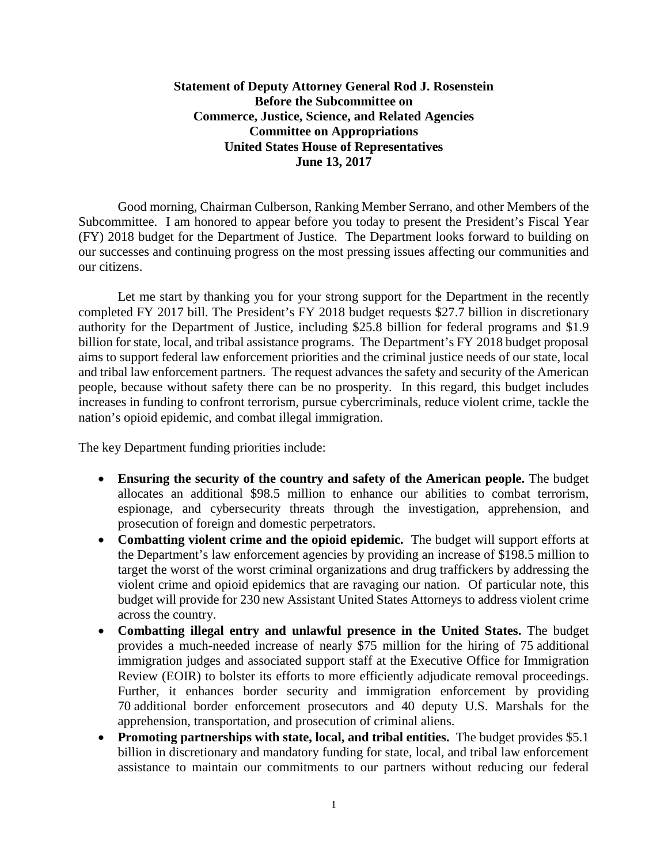## **Statement of Deputy Attorney General Rod J. Rosenstein Before the Subcommittee on Commerce, Justice, Science, and Related Agencies Committee on Appropriations United States House of Representatives June 13, 2017**

Good morning, Chairman Culberson, Ranking Member Serrano, and other Members of the Subcommittee. I am honored to appear before you today to present the President's Fiscal Year (FY) 2018 budget for the Department of Justice. The Department looks forward to building on our successes and continuing progress on the most pressing issues affecting our communities and our citizens.

Let me start by thanking you for your strong support for the Department in the recently completed FY 2017 bill. The President's FY 2018 budget requests \$27.7 billion in discretionary authority for the Department of Justice, including \$25.8 billion for federal programs and \$1.9 billion for state, local, and tribal assistance programs. The Department's FY 2018 budget proposal aims to support federal law enforcement priorities and the criminal justice needs of our state, local and tribal law enforcement partners. The request advances the safety and security of the American people, because without safety there can be no prosperity. In this regard, this budget includes increases in funding to confront terrorism, pursue cybercriminals, reduce violent crime, tackle the nation's opioid epidemic, and combat illegal immigration.

The key Department funding priorities include:

- **Ensuring the security of the country and safety of the American people.** The budget allocates an additional \$98.5 million to enhance our abilities to combat terrorism, espionage, and cybersecurity threats through the investigation, apprehension, and prosecution of foreign and domestic perpetrators.
- **Combatting violent crime and the opioid epidemic.** The budget will support efforts at the Department's law enforcement agencies by providing an increase of \$198.5 million to target the worst of the worst criminal organizations and drug traffickers by addressing the violent crime and opioid epidemics that are ravaging our nation. Of particular note, this budget will provide for 230 new Assistant United States Attorneys to address violent crime across the country.
- **Combatting illegal entry and unlawful presence in the United States.** The budget provides a much-needed increase of nearly \$75 million for the hiring of 75 additional immigration judges and associated support staff at the Executive Office for Immigration Review (EOIR) to bolster its efforts to more efficiently adjudicate removal proceedings. Further, it enhances border security and immigration enforcement by providing 70 additional border enforcement prosecutors and 40 deputy U.S. Marshals for the apprehension, transportation, and prosecution of criminal aliens.
- **Promoting partnerships with state, local, and tribal entities.** The budget provides \$5.1 billion in discretionary and mandatory funding for state, local, and tribal law enforcement assistance to maintain our commitments to our partners without reducing our federal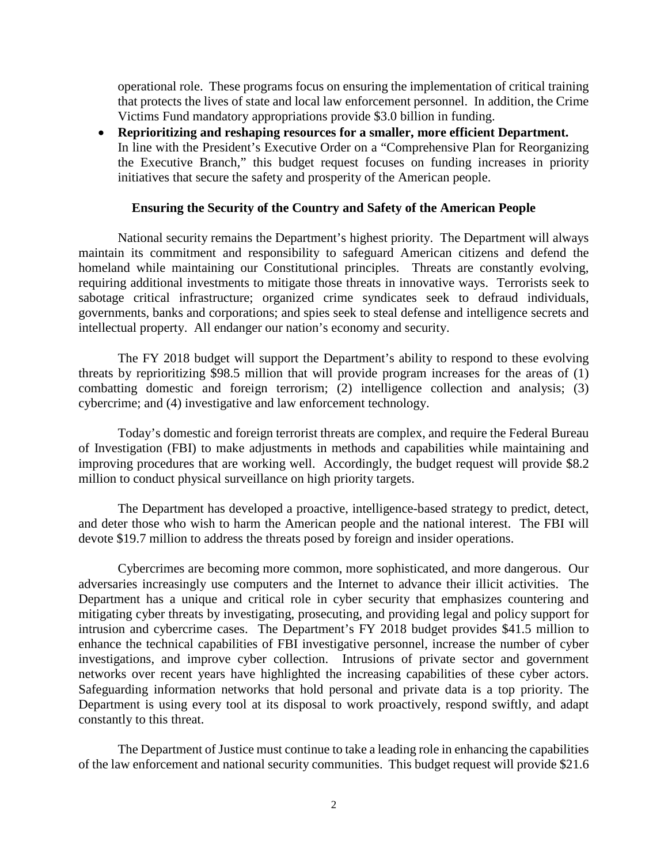operational role. These programs focus on ensuring the implementation of critical training that protects the lives of state and local law enforcement personnel. In addition, the Crime Victims Fund mandatory appropriations provide \$3.0 billion in funding.

• **Reprioritizing and reshaping resources for a smaller, more efficient Department.**  In line with the President's Executive Order on a "Comprehensive Plan for Reorganizing the Executive Branch," this budget request focuses on funding increases in priority initiatives that secure the safety and prosperity of the American people.

#### **Ensuring the Security of the Country and Safety of the American People**

National security remains the Department's highest priority. The Department will always maintain its commitment and responsibility to safeguard American citizens and defend the homeland while maintaining our Constitutional principles. Threats are constantly evolving, requiring additional investments to mitigate those threats in innovative ways. Terrorists seek to sabotage critical infrastructure; organized crime syndicates seek to defraud individuals, governments, banks and corporations; and spies seek to steal defense and intelligence secrets and intellectual property. All endanger our nation's economy and security.

The FY 2018 budget will support the Department's ability to respond to these evolving threats by reprioritizing \$98.5 million that will provide program increases for the areas of (1) combatting domestic and foreign terrorism; (2) intelligence collection and analysis; (3) cybercrime; and (4) investigative and law enforcement technology.

Today's domestic and foreign terrorist threats are complex, and require the Federal Bureau of Investigation (FBI) to make adjustments in methods and capabilities while maintaining and improving procedures that are working well. Accordingly, the budget request will provide \$8.2 million to conduct physical surveillance on high priority targets.

The Department has developed a proactive, intelligence-based strategy to predict, detect, and deter those who wish to harm the American people and the national interest. The FBI will devote \$19.7 million to address the threats posed by foreign and insider operations.

Cybercrimes are becoming more common, more sophisticated, and more dangerous. Our adversaries increasingly use computers and the Internet to advance their illicit activities. The Department has a unique and critical role in cyber security that emphasizes countering and mitigating cyber threats by investigating, prosecuting, and providing legal and policy support for intrusion and cybercrime cases. The Department's FY 2018 budget provides \$41.5 million to enhance the technical capabilities of FBI investigative personnel, increase the number of cyber investigations, and improve cyber collection. Intrusions of private sector and government networks over recent years have highlighted the increasing capabilities of these cyber actors. Safeguarding information networks that hold personal and private data is a top priority. The Department is using every tool at its disposal to work proactively, respond swiftly, and adapt constantly to this threat.

The Department of Justice must continue to take a leading role in enhancing the capabilities of the law enforcement and national security communities. This budget request will provide \$21.6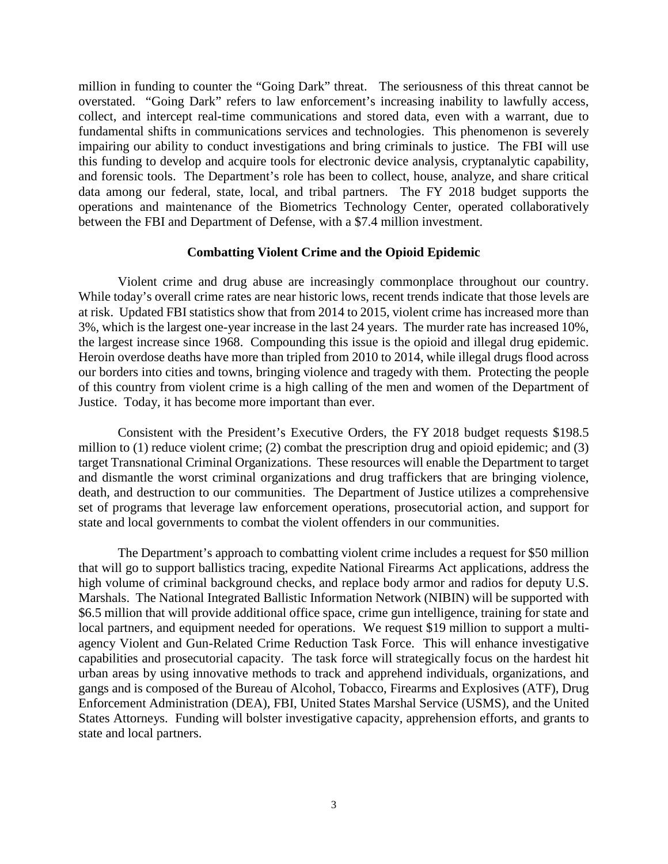million in funding to counter the "Going Dark" threat. The seriousness of this threat cannot be overstated. "Going Dark" refers to law enforcement's increasing inability to lawfully access, collect, and intercept real-time communications and stored data, even with a warrant, due to fundamental shifts in communications services and technologies. This phenomenon is severely impairing our ability to conduct investigations and bring criminals to justice. The FBI will use this funding to develop and acquire tools for electronic device analysis, cryptanalytic capability, and forensic tools. The Department's role has been to collect, house, analyze, and share critical data among our federal, state, local, and tribal partners. The FY 2018 budget supports the operations and maintenance of the Biometrics Technology Center, operated collaboratively between the FBI and Department of Defense, with a \$7.4 million investment.

### **Combatting Violent Crime and the Opioid Epidemic**

Violent crime and drug abuse are increasingly commonplace throughout our country. While today's overall crime rates are near historic lows, recent trends indicate that those levels are at risk. Updated FBI statistics show that from 2014 to 2015, violent crime has increased more than 3%, which is the largest one-year increase in the last 24 years. The murder rate has increased 10%, the largest increase since 1968. Compounding this issue is the opioid and illegal drug epidemic. Heroin overdose deaths have more than tripled from 2010 to 2014, while illegal drugs flood across our borders into cities and towns, bringing violence and tragedy with them. Protecting the people of this country from violent crime is a high calling of the men and women of the Department of Justice. Today, it has become more important than ever.

Consistent with the President's Executive Orders, the FY 2018 budget requests \$198.5 million to (1) reduce violent crime; (2) combat the prescription drug and opioid epidemic; and (3) target Transnational Criminal Organizations. These resources will enable the Department to target and dismantle the worst criminal organizations and drug traffickers that are bringing violence, death, and destruction to our communities. The Department of Justice utilizes a comprehensive set of programs that leverage law enforcement operations, prosecutorial action, and support for state and local governments to combat the violent offenders in our communities.

The Department's approach to combatting violent crime includes a request for \$50 million that will go to support ballistics tracing, expedite National Firearms Act applications, address the high volume of criminal background checks, and replace body armor and radios for deputy U.S. Marshals. The National Integrated Ballistic Information Network (NIBIN) will be supported with \$6.5 million that will provide additional office space, crime gun intelligence, training for state and local partners, and equipment needed for operations. We request \$19 million to support a multiagency Violent and Gun-Related Crime Reduction Task Force. This will enhance investigative capabilities and prosecutorial capacity. The task force will strategically focus on the hardest hit urban areas by using innovative methods to track and apprehend individuals, organizations, and gangs and is composed of the Bureau of Alcohol, Tobacco, Firearms and Explosives (ATF), Drug Enforcement Administration (DEA), FBI, United States Marshal Service (USMS), and the United States Attorneys. Funding will bolster investigative capacity, apprehension efforts, and grants to state and local partners.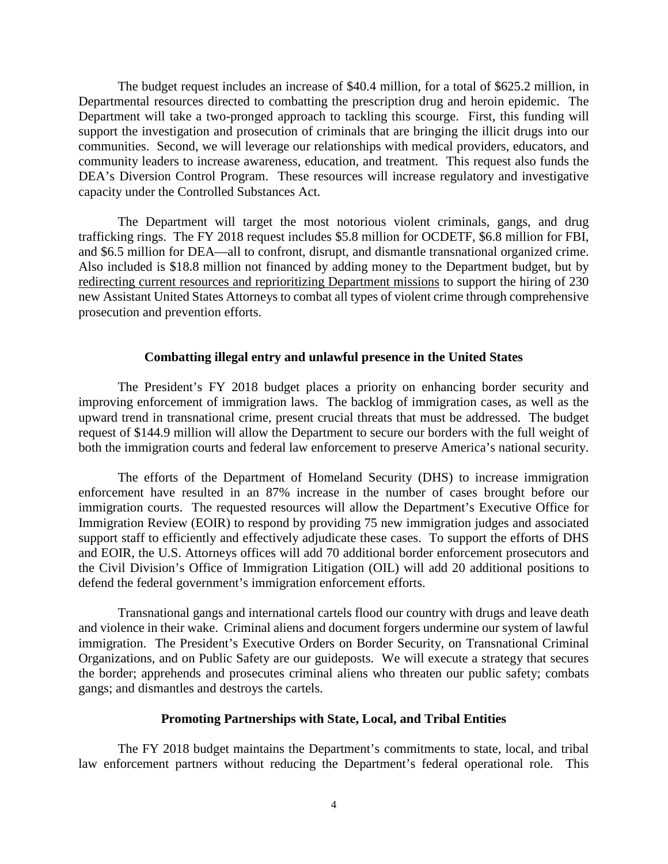The budget request includes an increase of \$40.4 million, for a total of \$625.2 million, in Departmental resources directed to combatting the prescription drug and heroin epidemic. The Department will take a two-pronged approach to tackling this scourge. First, this funding will support the investigation and prosecution of criminals that are bringing the illicit drugs into our communities. Second, we will leverage our relationships with medical providers, educators, and community leaders to increase awareness, education, and treatment. This request also funds the DEA's Diversion Control Program. These resources will increase regulatory and investigative capacity under the Controlled Substances Act.

The Department will target the most notorious violent criminals, gangs, and drug trafficking rings. The FY 2018 request includes \$5.8 million for OCDETF, \$6.8 million for FBI, and \$6.5 million for DEA—all to confront, disrupt, and dismantle transnational organized crime. Also included is \$18.8 million not financed by adding money to the Department budget, but by redirecting current resources and reprioritizing Department missions to support the hiring of 230 new Assistant United States Attorneys to combat all types of violent crime through comprehensive prosecution and prevention efforts.

#### **Combatting illegal entry and unlawful presence in the United States**

The President's FY 2018 budget places a priority on enhancing border security and improving enforcement of immigration laws. The backlog of immigration cases, as well as the upward trend in transnational crime, present crucial threats that must be addressed. The budget request of \$144.9 million will allow the Department to secure our borders with the full weight of both the immigration courts and federal law enforcement to preserve America's national security.

The efforts of the Department of Homeland Security (DHS) to increase immigration enforcement have resulted in an 87% increase in the number of cases brought before our immigration courts. The requested resources will allow the Department's Executive Office for Immigration Review (EOIR) to respond by providing 75 new immigration judges and associated support staff to efficiently and effectively adjudicate these cases. To support the efforts of DHS and EOIR, the U.S. Attorneys offices will add 70 additional border enforcement prosecutors and the Civil Division's Office of Immigration Litigation (OIL) will add 20 additional positions to defend the federal government's immigration enforcement efforts.

Transnational gangs and international cartels flood our country with drugs and leave death and violence in their wake. Criminal aliens and document forgers undermine our system of lawful immigration. The President's Executive Orders on Border Security, on Transnational Criminal Organizations, and on Public Safety are our guideposts. We will execute a strategy that secures the border; apprehends and prosecutes criminal aliens who threaten our public safety; combats gangs; and dismantles and destroys the cartels.

#### **Promoting Partnerships with State, Local, and Tribal Entities**

The FY 2018 budget maintains the Department's commitments to state, local, and tribal law enforcement partners without reducing the Department's federal operational role. This